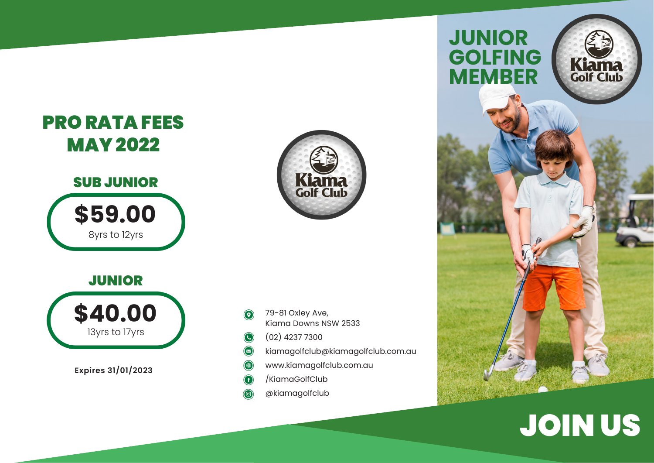





13yrs to 17yrs **\$40.00** 

**Expires 31/01/2023**

- 79-81 Oxley Ave,  $\odot$ Kiama Downs NSW 2533
- (02) 4237 7300  $\bigodot$
- $\bigcirc$ kiamagolfclub@kiamagolfclub.com.au
- $\circledR$ www.kiamagolfclub.com.au
- /KiamaGolfClub G
- @kiamagolfclub



## JOIN US